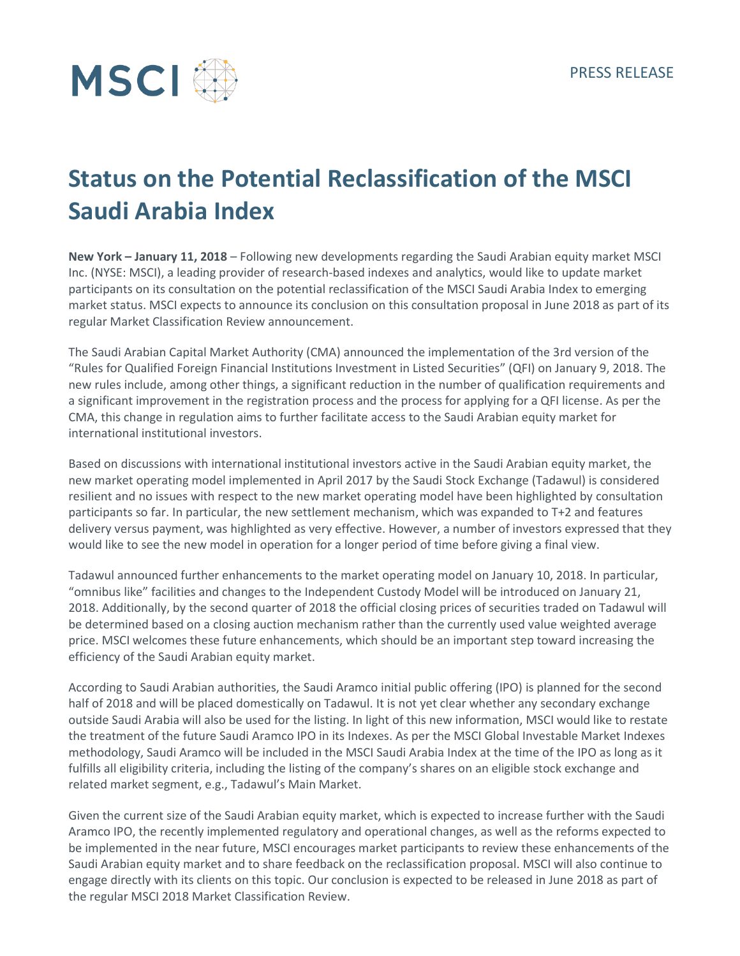

# **Status on the Potential Reclassification of the MSCI Saudi Arabia Index**

**New York – January 11, 2018** – Following new developments regarding the Saudi Arabian equity market MSCI Inc. (NYSE: MSCI), a leading provider of research-based indexes and analytics, would like to update market participants on its consultation on the potential reclassification of the MSCI Saudi Arabia Index to emerging market status. MSCI expects to announce its conclusion on this consultation proposal in June 2018 as part of its regular Market Classification Review announcement.

The Saudi Arabian Capital Market Authority (CMA) announced the implementation of the 3rd version of the "Rules for Qualified Foreign Financial Institutions Investment in Listed Securities" (QFI) on January 9, 2018. The new rules include, among other things, a significant reduction in the number of qualification requirements and a significant improvement in the registration process and the process for applying for a QFI license. As per the CMA, this change in regulation aims to further facilitate access to the Saudi Arabian equity market for international institutional investors.

Based on discussions with international institutional investors active in the Saudi Arabian equity market, the new market operating model implemented in April 2017 by the Saudi Stock Exchange (Tadawul) is considered resilient and no issues with respect to the new market operating model have been highlighted by consultation participants so far. In particular, the new settlement mechanism, which was expanded to T+2 and features delivery versus payment, was highlighted as very effective. However, a number of investors expressed that they would like to see the new model in operation for a longer period of time before giving a final view.

Tadawul announced further enhancements to the market operating model on January 10, 2018. In particular, "omnibus like" facilities and changes to the Independent Custody Model will be introduced on January 21, 2018. Additionally, by the second quarter of 2018 the official closing prices of securities traded on Tadawul will be determined based on a closing auction mechanism rather than the currently used value weighted average price. MSCI welcomes these future enhancements, which should be an important step toward increasing the efficiency of the Saudi Arabian equity market.

According to Saudi Arabian authorities, the Saudi Aramco initial public offering (IPO) is planned for the second half of 2018 and will be placed domestically on Tadawul. It is not yet clear whether any secondary exchange outside Saudi Arabia will also be used for the listing. In light of this new information, MSCI would like to restate the treatment of the future Saudi Aramco IPO in its Indexes. As per the MSCI Global Investable Market Indexes methodology, Saudi Aramco will be included in the MSCI Saudi Arabia Index at the time of the IPO as long as it fulfills all eligibility criteria, including the listing of the company's shares on an eligible stock exchange and related market segment, e.g., Tadawul's Main Market.

Given the current size of the Saudi Arabian equity market, which is expected to increase further with the Saudi Aramco IPO, the recently implemented regulatory and operational changes, as well as the reforms expected to be implemented in the near future, MSCI encourages market participants to review these enhancements of the Saudi Arabian equity market and to share feedback on the reclassification proposal. MSCI will also continue to engage directly with its clients on this topic. Our conclusion is expected to be released in June 2018 as part of the regular MSCI 2018 Market Classification Review.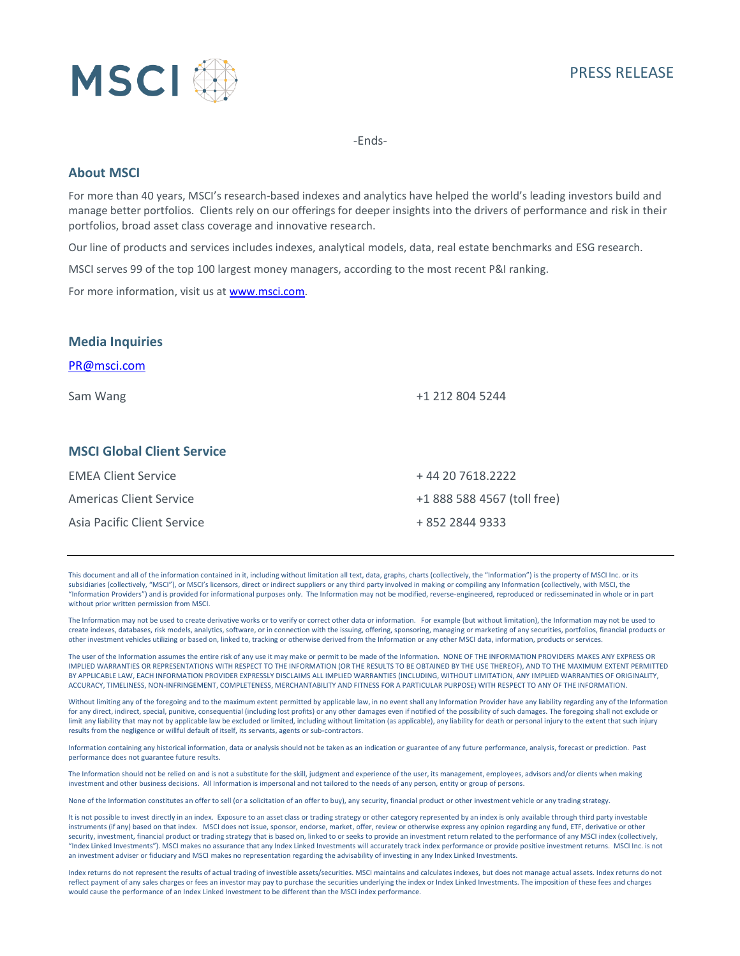

-Ends-

## **About MSCI**

For more than 40 years, MSCI's research-based indexes and analytics have helped the world's leading investors build and manage better portfolios. Clients rely on our offerings for deeper insights into the drivers of performance and risk in their portfolios, broad asset class coverage and innovative research.

Our line of products and services includes indexes, analytical models, data, real estate benchmarks and ESG research.

MSCI serves 99 of the top 100 largest money managers, according to the most recent P&I ranking.

For more information, visit us at **www.msci.com**.

### **Media Inquiries**

#### [PR@msci.com](mailto:PR@msci.com)

Sam Wang  $+1$  212 804 5244

# **MSCI Global Client Service**

| <b>EMEA Client Service</b>  | +44 20 7618.2222            |
|-----------------------------|-----------------------------|
| Americas Client Service     | +1 888 588 4567 (toll free) |
| Asia Pacific Client Service | + 852 2844 9333             |

This document and all of the information contained in it, including without limitation all text, data, graphs, charts (collectively, the "Information") is the property of MSCI Inc. or its subsidiaries (collectively, "MSCI"), or MSCI's licensors, direct or indirect suppliers or any third party involved in making or compiling any Information (collectively, with MSCI, the "Information Providers") and is provided for informational purposes only. The Information may not be modified, reverse-engineered, reproduced or redisseminated in whole or in part without prior written permission from MSCI.

The Information may not be used to create derivative works or to verify or correct other data or information. For example (but without limitation), the Information may not be used to create indexes, databases, risk models, analytics, software, or in connection with the issuing, offering, sponsoring, managing or marketing of any securities, portfolios, financial products or other investment vehicles utilizing or based on, linked to, tracking or otherwise derived from the Information or any other MSCI data, information, products or services.

The user of the Information assumes the entire risk of any use it may make or permit to be made of the Information. NONE OF THE INFORMATION PROVIDERS MAKES ANY EXPRESS OR IMPLIED WARRANTIES OR REPRESENTATIONS WITH RESPECT TO THE INFORMATION (OR THE RESULTS TO BE OBTAINED BY THE USE THEREOF), AND TO THE MAXIMUM EXTENT PERMITTED BY APPLICABLE LAW, EACH INFORMATION PROVIDER EXPRESSLY DISCLAIMS ALL IMPLIED WARRANTIES (INCLUDING, WITHOUT LIMITATION, ANY IMPLIED WARRANTIES OF ORIGINALITY, ACCURACY, TIMELINESS, NON-INFRINGEMENT, COMPLETENESS, MERCHANTABILITY AND FITNESS FOR A PARTICULAR PURPOSE) WITH RESPECT TO ANY OF THE INFORMATION.

Without limiting any of the foregoing and to the maximum extent permitted by applicable law, in no event shall any Information Provider have any liability regarding any of the Information for any direct, indirect, special, punitive, consequential (including lost profits) or any other damages even if notified of the possibility of such damages. The foregoing shall not exclude or limit any liability that may not by applicable law be excluded or limited, including without limitation (as applicable), any liability for death or personal injury to the extent that such injury results from the negligence or willful default of itself, its servants, agents or sub-contractors.

Information containing any historical information, data or analysis should not be taken as an indication or guarantee of any future performance, analysis, forecast or prediction. Past performance does not guarantee future results.

The Information should not be relied on and is not a substitute for the skill, judgment and experience of the user, its management, employees, advisors and/or clients when making investment and other business decisions. All Information is impersonal and not tailored to the needs of any person, entity or group of persons.

None of the Information constitutes an offer to sell (or a solicitation of an offer to buy), any security, financial product or other investment vehicle or any trading strategy.

It is not possible to invest directly in an index. Exposure to an asset class or trading strategy or other category represented by an index is only available through third party investable instruments (if any) based on that index. MSCI does not issue, sponsor, endorse, market, offer, review or otherwise express any opinion regarding any fund, ETF, derivative or other security, investment, financial product or trading strategy that is based on, linked to or seeks to provide an investment return related to the performance of any MSCI index (collectively, "Index Linked Investments"). MSCI makes no assurance that any Index Linked Investments will accurately track index performance or provide positive investment returns. MSCI Inc. is not an investment adviser or fiduciary and MSCI makes no representation regarding the advisability of investing in any Index Linked Investments.

Index returns do not represent the results of actual trading of investible assets/securities. MSCI maintains and calculates indexes, but does not manage actual assets. Index returns do not reflect payment of any sales charges or fees an investor may pay to purchase the securities underlying the index or Index Linked Investments. The imposition of these fees and charges would cause the performance of an Index Linked Investment to be different than the MSCI index performance.